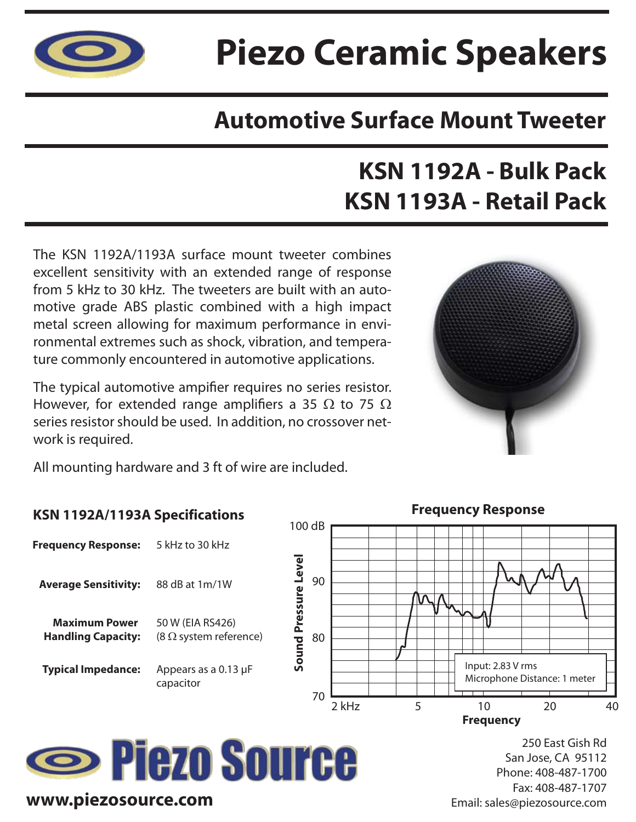

# **Piezo Ceramic Speakers**

### **Automotive Surface Mount Tweeter**

## **KSN 1192A - Bulk Pack KSN 1193A - Retail Pack**

The KSN 1192A/1193A surface mount tweeter combines excellent sensitivity with an extended range of response from 5 kHz to 30 kHz. The tweeters are built with an automotive grade ABS plastic combined with a high impact metal screen allowing for maximum performance in environmental extremes such as shock, vibration, and temperature commonly encountered in automotive applications.

The typical automotive ampifier requires no series resistor. However, for extended range amplifiers a 35  $\Omega$  to 75  $\Omega$ series resistor should be used. In addition, no crossover network is required.



All mounting hardware and 3 ft of wire are included.

#### **KSN 1192A/1193A Specifications**

| <b>Frequency Response:</b>                        | 5 kHz to 30 kHz                                   |
|---------------------------------------------------|---------------------------------------------------|
| <b>Average Sensitivity:</b>                       | 88 dB at 1m/1W                                    |
| <b>Maximum Power</b><br><b>Handling Capacity:</b> | 50 W (EIA RS426)<br>$(8 \Omega$ system reference) |
| <b>Typical Impedance:</b>                         | Appears as a 0.13 µF<br>capacitor                 |
|                                                   |                                                   |





250 East Gish Rd San Jose, CA 95112 Phone: 408-487-1700 Fax: 408-487-1707 Email: sales@piezosource.com